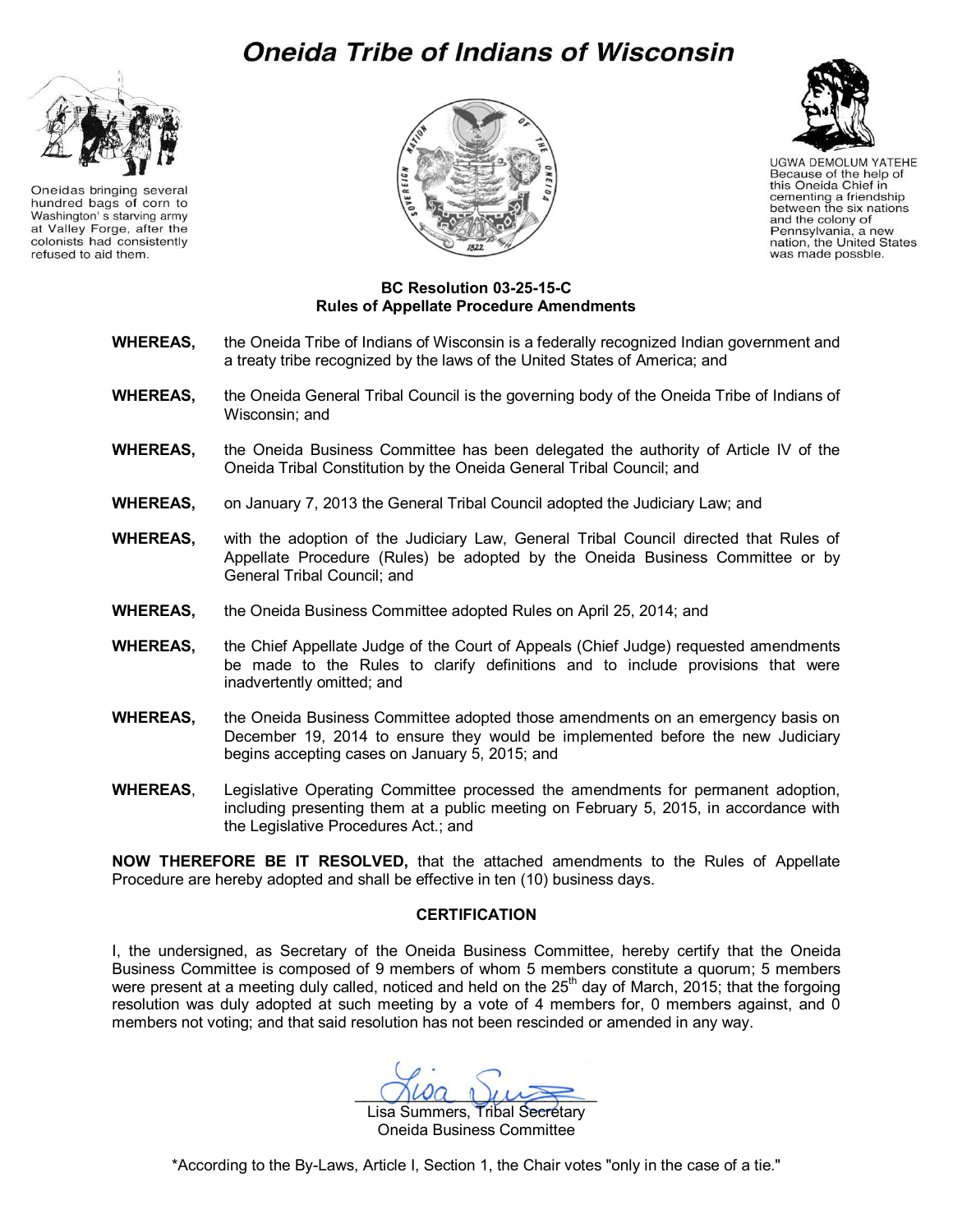# **Oneida Tribe of Indians of Wisconsin**



Oneidas bringing several hundred bags of corn to Washington's starving army at Valley Forge, after the colonists had consistently refused to aid them.





**UGWA DEMOLUM YATEHE** Because of the help of this Oneida Chief in cementing a friendship between the six nations<br>and the colony of Pennsylvania, a new nation, the United States was made possble.

#### **BC Resolution 03-25-15-C Rules of Appellate Procedure Amendments**

- **WHEREAS,** the Oneida Tribe of Indians of Wisconsin is a federally recognized Indian government and a treaty tribe recognized by the laws of the United States of America; and
- **WHEREAS,** the Oneida General Tribal Council is the governing body of the Oneida Tribe of Indians of Wisconsin; and
- **WHEREAS,** the Oneida Business Committee has been delegated the authority of Article IV of the Oneida Tribal Constitution by the Oneida General Tribal Council; and
- **WHEREAS,** on January 7, 2013 the General Tribal Council adopted the Judiciary Law; and
- **WHEREAS,** with the adoption of the Judiciary Law, General Tribal Council directed that Rules of Appellate Procedure (Rules) be adopted by the Oneida Business Committee or by General Tribal Council; and
- **WHEREAS,** the Oneida Business Committee adopted Rules on April 25, 2014; and
- **WHEREAS,** the Chief Appellate Judge of the Court of Appeals (Chief Judge) requested amendments be made to the Rules to clarify definitions and to include provisions that were inadvertently omitted; and
- **WHEREAS,** the Oneida Business Committee adopted those amendments on an emergency basis on December 19, 2014 to ensure they would be implemented before the new Judiciary begins accepting cases on January 5, 2015; and
- **WHEREAS**, Legislative Operating Committee processed the amendments for permanent adoption, including presenting them at a public meeting on February 5, 2015, in accordance with the Legislative Procedures Act.; and

**NOW THEREFORE BE IT RESOLVED,** that the attached amendments to the Rules of Appellate Procedure are hereby adopted and shall be effective in ten (10) business days.

#### **CERTIFICATION**

I, the undersigned, as Secretary of the Oneida Business Committee, hereby certify that the Oneida Business Committee is composed of 9 members of whom 5 members constitute a quorum; 5 members were present at a meeting duly called, noticed and held on the 25<sup>th</sup> day of March, 2015; that the forgoing resolution was duly adopted at such meeting by a vote of 4 members for, 0 members against, and 0 members not voting; and that said resolution has not been rescinded or amended in any way.

 $Mwa$   $\mu\mu$ 

Lisa Summers, Tribal Secretary Oneida Business Committee

\*According to the By-Laws, Article I, Section 1, the Chair votes "only in the case of a tie."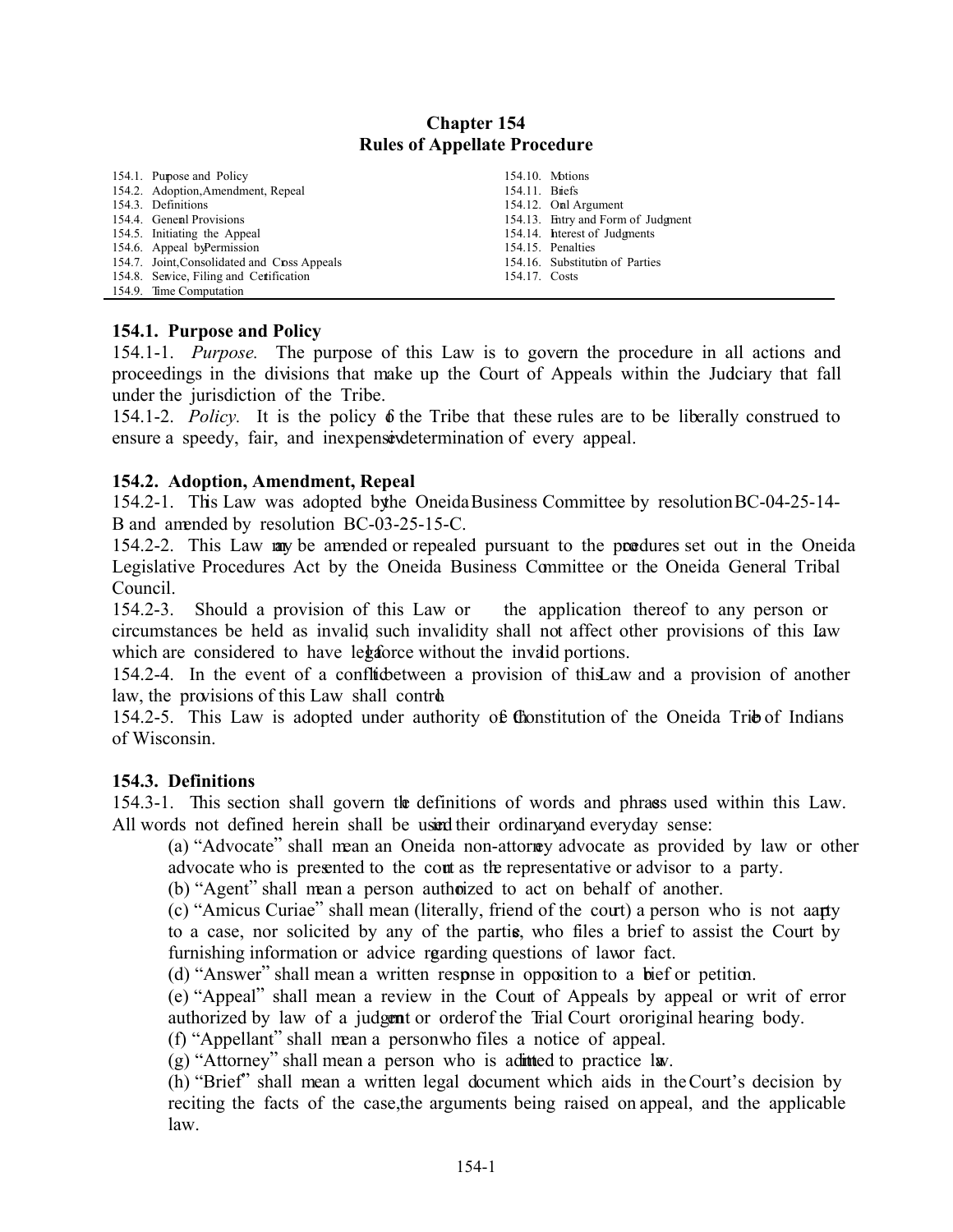# **Chapter 154 Rules of Appellate Procedure**

| 154.1. Pupose and Policy                     |                | 154.10. Motions                    |
|----------------------------------------------|----------------|------------------------------------|
| 154.2. Adoption, Amendment, Repeal           | 154.11. Briefs |                                    |
| 154.3. Definitions                           |                | 154.12. Onl Argument               |
| 154.4. General Provisions                    |                | 154.13. Entry and Form of Judgment |
| 154.5. Initiating the Appeal                 |                | 154.14. hterest of Judgments       |
| 154.6. Appeal by Permission                  |                | 154.15. Penalties                  |
| 154.7. Joint, Consolidated and Cross Appeals |                | 154.16. Substitution of Parties    |
| 154.8. Service, Filing and Certification     | 154.17. Costs  |                                    |
| 154.9. Time Computation                      |                |                                    |

#### **154.1. Purpose and Policy**

154.1-1. *Purpose.* The purpose of this Law is to govern the procedure in all actions and proceedings in the divisions that make up the Court of Appeals within the Judciary that fall under the jurisdiction of the Tribe.

154.1-2. *Policy*. It is the policy  $\delta$  the Tribe that these rules are to be liberally construed to ensure a speedy, fair, and inexpensive determination of every appeal.

#### **154.2. Adoption, Amendment, Repeal**

154.2-1. This Law was adopted by the Oneida Business Committee by resolution BC-04-25-14-B and amended by resolution BC-03-25-15-C.

154.2-2. This Law may be amended or repealed pursuant to the produces set out in the Oneida Legislative Procedures Act by the Oneida Business Committee or the Oneida General Tribal Council.

154.2-3. Should a provision of this Law or the application thereof to any person or circumstances be held as invalid such invalidity shall not affect other provisions of this law which are considered to have legal force without the invalid portions.

154.2-4. In the event of a conflicte between a provision of this Law and a provision of another law, the provisions of this Law shall control.

154.2-5. This Law is adopted under authority of Chonstitution of the Oneida Tribe of Indians of Wisconsin.

#### **154.3. Definitions**

154.3-1. This section shall govern the definitions of words and phrases used within this Law. All words not defined herein shall be using their ordinary and everyday sense:

(a) "Advocate" shall mean an Oneida non-attorney advocate as provided by law or other advocate who is presented to the court as the representative or advisor to a party.

(b) "Agent" shall mean a person authorized to act on behalf of another.

(c) "Amicus Curiae" shall mean (literally, friend of the court) a person who is not aanty to a case, nor solicited by any of the parties, who files a brief to assist the Court by furnishing information or advice regarding questions of lawor fact.

(d) "Answer" shall mean a written response in opposition to a bief or petition.

(e) "Appeal" shall mean a review in the Court of Appeals by appeal or writ of error authorized by law of a judgent or order of the Trial Court or original hearing body.

(f) "Appellant" shall mean a person who files a notice of appeal.

(g) "Attorney" shall mean a person who is admitted to practice law.

(h) "Brief" shall mean a written legal document which aids in the Court's decision by reciting the facts of the case, the arguments being raised on appeal, and the applicable law.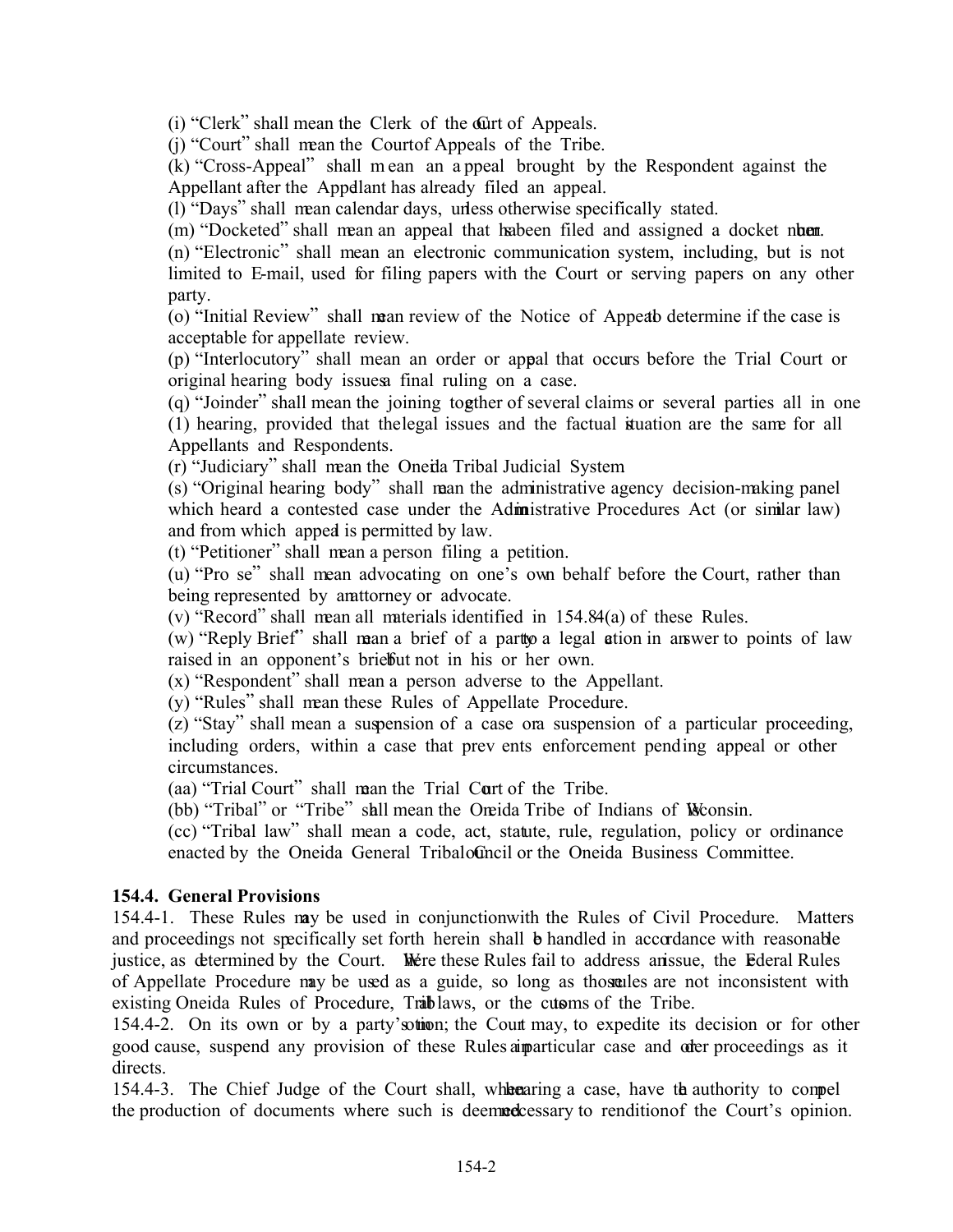(i) "Clerk" shall mean the Clerk of the Curt of Appeals.

 $(i)$  "Court" shall mean the Court of Appeals of the Tribe.

(k) "Cross-Appeal" shall m ean an a ppeal brought by the Respondent against the Appellant after the Appellant has already filed an appeal.

(l) "Days" shall mean calendar days, unless otherwise specifically stated.

(m) "Docketed" shall mean an appeal that habeen filed and assigned a docket number.

(n) "Electronic" shall mean an electronic communication system, including, but is not limited to E-mail, used for filing papers with the Court or serving papers on any other party.

(o) "Initial Review" shall mean review of the Notice of Appeab determine if the case is acceptable for appellate review.

(p) "Interlocutory" shall mean an order or appeal that occurs before the Trial Court or original hearing body issues a final ruling on a case.

(q) "Joinder" shall mean the joining together of several claims or several parties all in one (1) hearing, provided that the legal issues and the factual situation are the same for all Appellants and Respondents.

(r) "Judiciary" shall mean the Oneida Tribal Judicial System.

(s) "Original hearing body" shall mean the administrative agency decision-making panel which heard a contested case under the Administrative Procedures Act (or similar law) and from which appeal is permitted by law.

(t) "Petitioner" shall mean a person filing a petition.

(u) "Pro se" shall mean advocating on one's own behalf before the Court, rather than being represented by antitorney or advocate.

 $(v)$  "Record" shall mean all materials identified in 154.84 $(a)$  of these Rules.

(w) "Reply Brief" shall mean a brief of a part to a legal action in answer to points of law raised in an opponent's brieffut not in his or her own.

(x) "Respondent" shall mean a person adverse to the Appellant.

(y) "Rules" shall mean these Rules of Appellate Procedure.

(z) "Stay" shall mean a suspension of a case or a suspension of a particular proceeding, including orders, within a case that prev ents enforcement pending appeal or other circumstances.

(aa) "Trial Court" shall mean the Trial Court of the Tribe.

(bb) "Tribal" or "Tribe" shall mean the Oneida Tribe of Indians of Wisconsin.

(cc) "Tribal law" shall mean a code, act, statute, rule, regulation, policy or ordinance enacted by the Oneida General TribaloConcil or the Oneida Business Committee.

## **154.4. General Provisions**

154.4-1. These Rules may be used in conjunction with the Rules of Civil Procedure. Matters and proceedings not specifically set forth herein shall be handled in accordance with reasonable justice, as determined by the Court. Where these Rules fail to address anissue, the Ederal Rules of Appellate Procedure may be used as a guide, so long as those rules are not inconsistent with existing Oneida Rules of Procedure, Trablaws, or the cusars of the Tribe.

154.4-2. On its own or by a party's other; the Court may, to expedite its decision or for other good cause, suspend any provision of these Rules apparticular case and order proceedings as it directs.

154.4-3. The Chief Judge of the Court shall, when a case, have the authority to compel the production of documents where such is deemed cessary to rendition of the Court's opinion.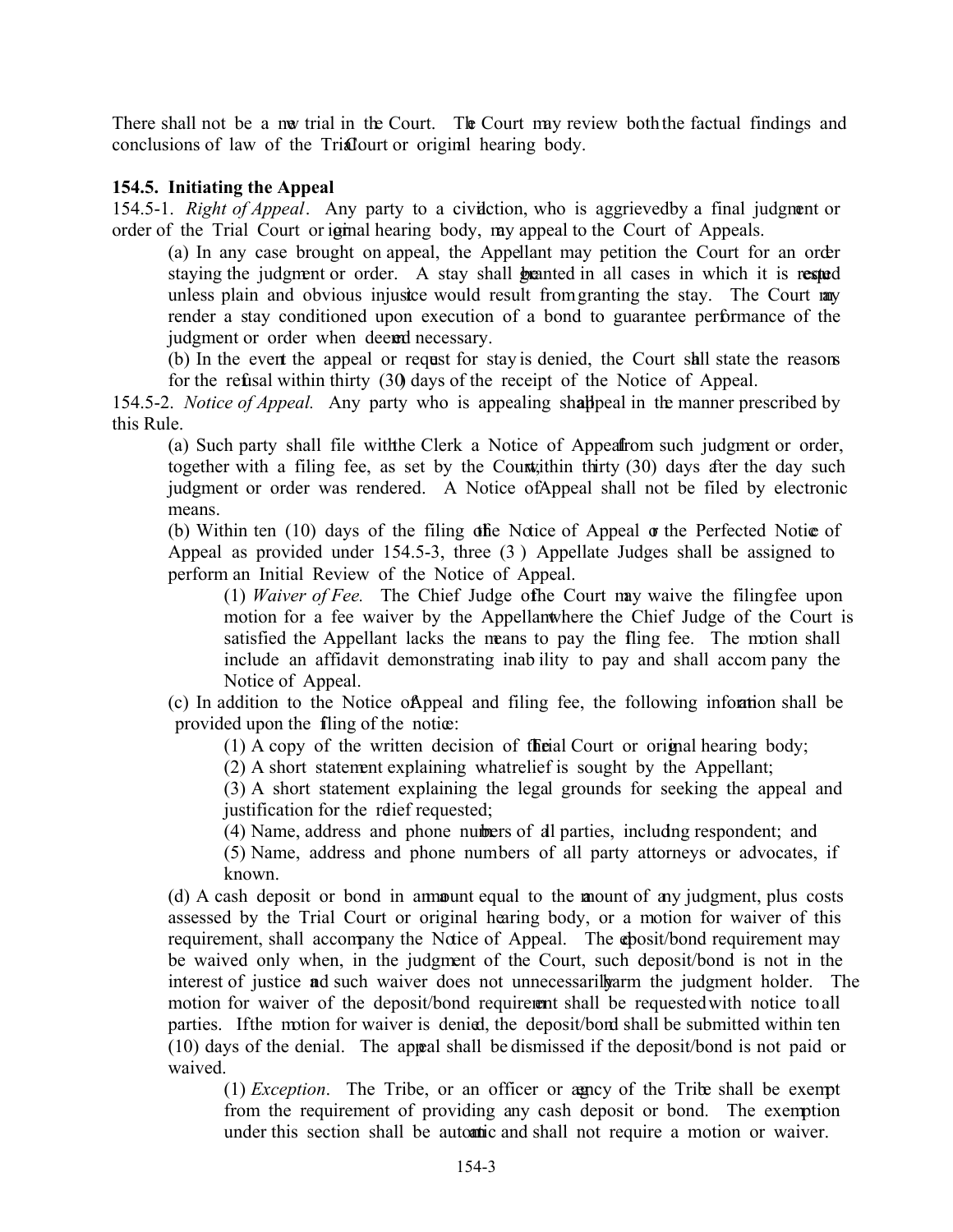There shall not be a nw trial in the Court. The Court may review both the factual findings and conclusions of law of the Trial court or original hearing body.

# **154.5. Initiating the Appeal**

154.5-1. *Right of Appeal*. Any party to a civilation, who is aggrieved by a final judgment or order of the Trial Court or iginal hearing body, my appeal to the Court of Appeals.

(a) In any case brought on appeal, the Appellant may petition the Court for an order staying the judgment or order. A stay shall **be** anted in all cases in which it is rested unless plain and obvious injustice would result from granting the stay. The Court may render a stay conditioned upon execution of a bond to guarantee performance of the judgment or order when deem necessary.

(b) In the event the appeal or request for stay is denied, the Court shall state the reasons for the refusal within thirty (30) days of the receipt of the Notice of Appeal.

154.5-2. *Notice of Appeal.* Any party who is appealing shallppeal in the manner prescribed by this Rule.

(a) Such party shall file with the Clerk a Notice of Appeal from such judgment or order, together with a filing fee, as set by the Countilian thirty  $(30)$  days after the day such judgment or order was rendered. A Notice of Appeal shall not be filed by electronic means.

(b) Within ten  $(10)$  days of the filing of the Notice of Appeal  $\sigma$  the Perfected Notice of Appeal as provided under 154.5-3, three (3 ) Appellate Judges shall be assigned to perform an Initial Review of the Notice of Appeal.

(1) *Waiver of Fee.* The Chief Judge of the Court may waive the filing fee upon motion for a fee waiver by the Appellant where the Chief Judge of the Court is satisfied the Appellant lacks the means to pay the fling fee. The motion shall include an affidavit demonstrating inab ility to pay and shall accom pany the Notice of Appeal.

(c) In addition to the Notice of Appeal and filing fee, the following information shall be provided upon the filing of the notice:

(1) A copy of the written decision of the Trial Court or original hearing body;

(2) A short statement explaining what relief is sought by the Appellant;

(3) A short statement explaining the legal grounds for seeking the appeal and justification for the relief requested;

(4) Name, address and phone numbers of all parties, including respondent; and

(5) Name, address and phone numbers of all party attorneys or advocates, if known.

 $(d)$  A cash deposit or bond in amount equal to the mount of any judgment, plus costs assessed by the Trial Court or original hearing body, or a motion for waiver of this requirement, shall accompany the Notice of Appeal. The chosit/bond requirement may be waived only when, in the judgment of the Court, such deposit/bond is not in the interest of justice and such waiver does not unnecessarilly arm the judgment holder. The motion for waiver of the deposit/bond requirement shall be requested with notice to all parties. If the motion for waiver is denied, the deposit/bond shall be submitted within ten (10) days of the denial. The appeal shall be dismissed if the deposit/bond is not paid or waived.

(1) *Exception*. The Tribe, or an officer or agency of the Tribe shall be exempt from the requirement of providing any cash deposit or bond. The exemption under this section shall be automatic and shall not require a motion or waiver.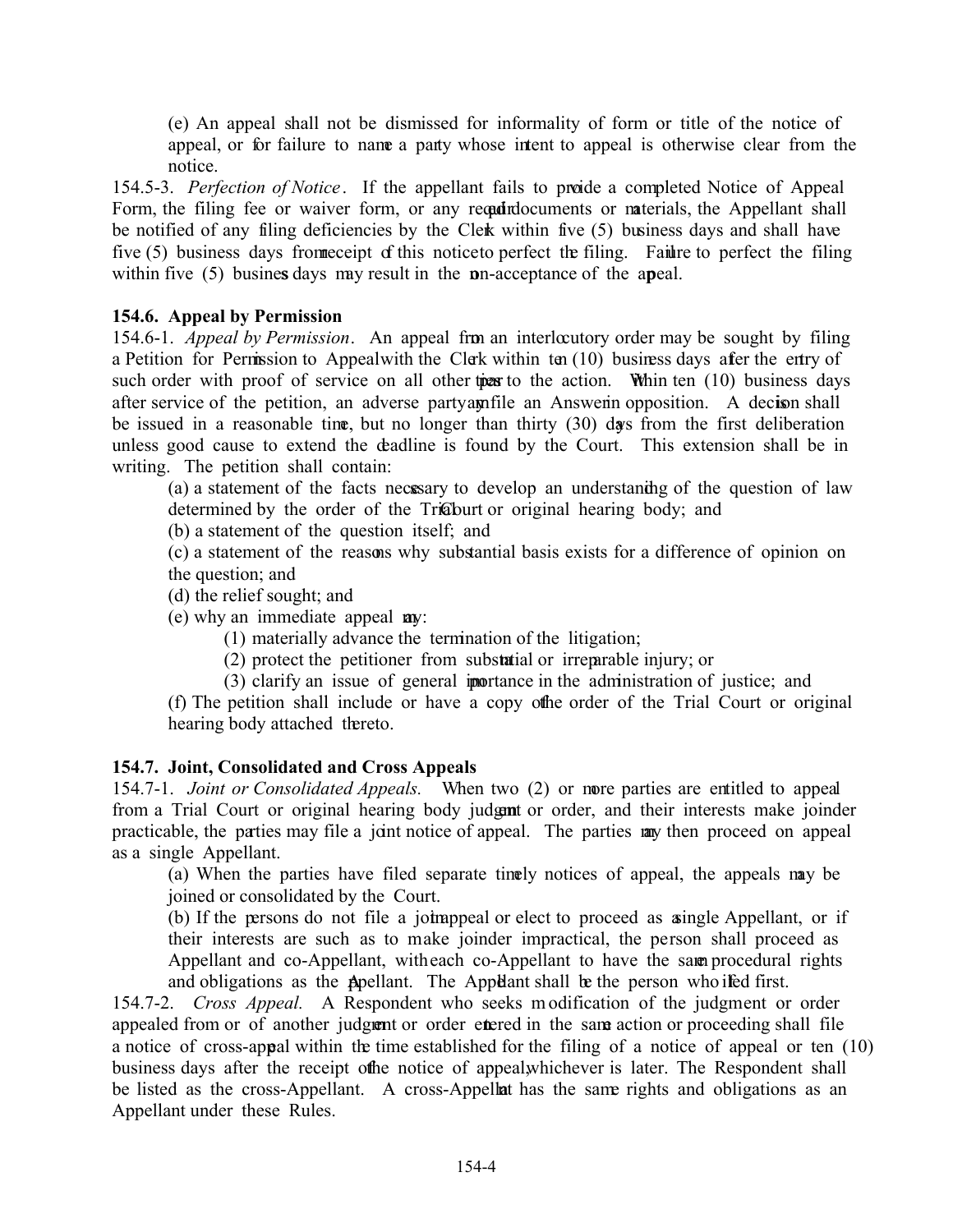(e) An appeal shall not be dismissed for informality of form or title of the notice of appeal, or for failure to name a party whose intent to appeal is otherwise clear from the notice.

154.5-3. *Perfection of Notice*. If the appellant fails to proide a completed Notice of Appeal Form, the filing fee or waiver form, or any regading ocuments or naterials, the Appellant shall be notified of any filing deficiencies by the Clerk within five (5) business days and shall have five  $(5)$  business days from receipt of this notice to perfect the filing. Failure to perfect the filing within five (5) busines days may result in the **p**n-acceptance of the apeal.

## **154.6. Appeal by Permission**

154.6-1.*Appeal by Permission*. An appeal from an interlocutory order may be sought by filing a Petition for Permission to Appealwith the Clerk within ten (10) business days after the entry of such order with proof of service on all other ties to the action. Whin ten  $(10)$  business days after service of the petition, an adverse party antifile an Answerin opposition. A decision shall be issued in a reasonable time, but no longer than thirty  $(30)$  days from the first deliberation unless good cause to extend the deadline is found by the Court. This extension shall be in writing. The petition shall contain:

(a) a statement of the facts necessary to develop an understanding of the question of law determined by the order of the Tricoburt or original hearing body; and

(b) a statement of the question itself; and

(c) a statement of the reasons why substantial basis exists for a difference of opinion on the question; and

(d) the relief sought; and

(e) why an immediate appeal **av**:

(1) materially advance the termination of the litigation;

 $(2)$  protect the petitioner from substatial or irreparable injury; or

(3) clarify an issue of general importance in the administration of justice; and

(f) The petition shall include or have a copy of the order of the Trial Court or original hearing body attached thereto.

## **154.7. Joint, Consolidated and Cross Appeals**

154.7-1. *Joint or Consolidated Appeals.* When two (2) or more parties are entitled to appeal from a Trial Court or original hearing body judgmt or order, and their interests make joinder practicable, the parties may file a joint notice of appeal. The parties may then proceed on appeal as a single Appellant.

(a) When the parties have filed separate timely notices of appeal, the appeals may be joined or consolidated by the Court.

 $(b)$  If the persons do not file a joint appeal or elect to proceed as a single Appellant, or if their interests are such as to make joinder impractical, the person shall proceed as Appellant and co-Appellant, with each co-Appellant to have the same procedural rights and obligations as the Appellant. The Appellant shall be the person who ifed first.

154.7-2. *Cross Appeal.* A Respondent who seeks m odification of the judgment or order appealed from or of another judgment or order entered in the same action or proceeding shall file a notice of cross-appeal within the time established for the filing of a notice of appeal or ten (10) business days after the receipt of the notice of appeal, whichever is later. The Respondent shall be listed as the cross-Appellant. A cross-Appellat has the same rights and obligations as an Appellant under these Rules.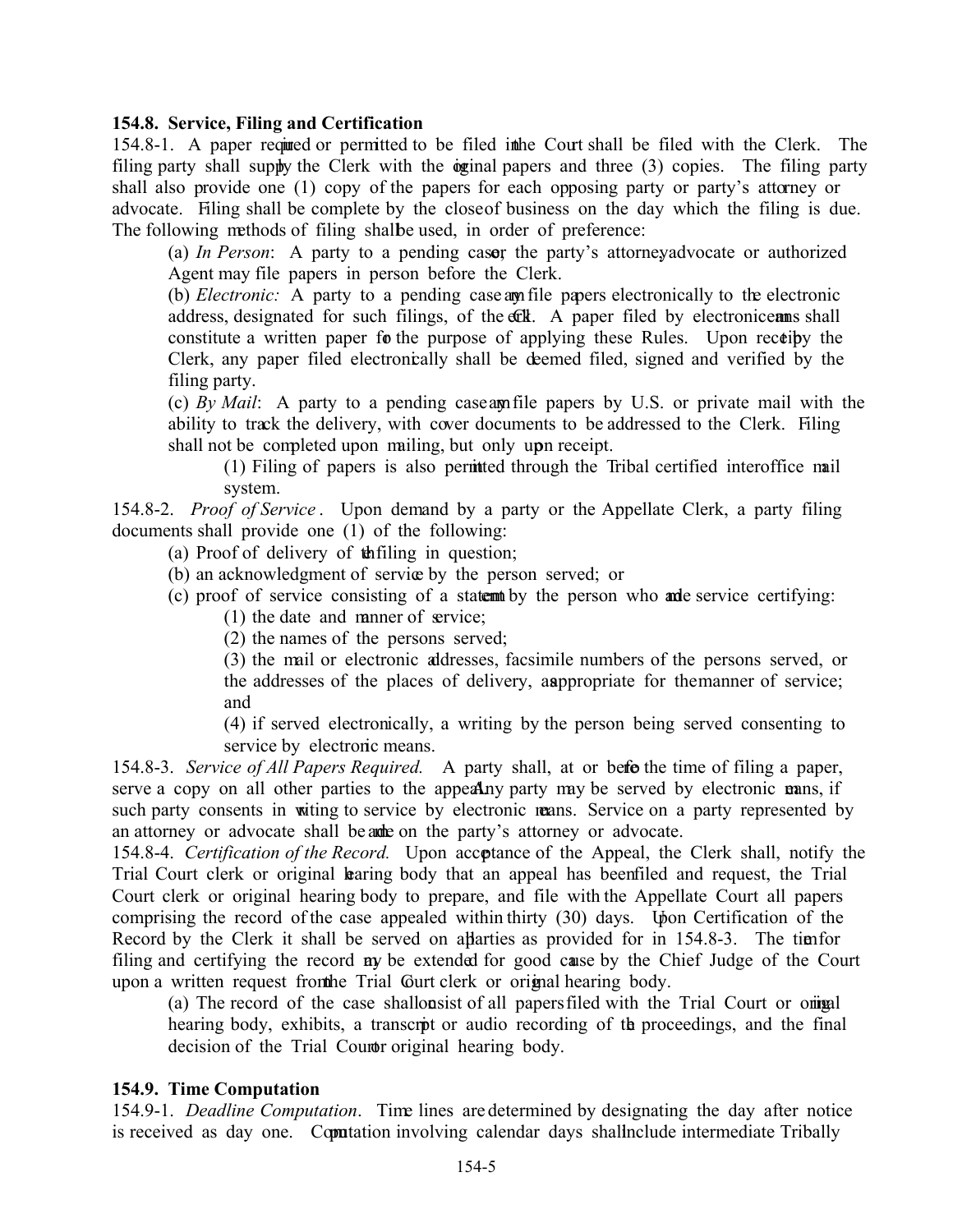## **154.8. Service, Filing and Certification**

154.8-1. A paper required or permitted to be filed in the Court shall be filed with the Clerk. The filing party shall supply the Clerk with the oginal papers and three  $(3)$  copies. The filing party shall also provide one (1) copy of the papers for each opposing party or party's attorney or advocate. Filing shall be complete by the close of business on the day which the filing is due. The following methods of filing shall be used, in order of preference:

(a) *In Person*: A party to a pending caser the party's attorney, advocate or authorized Agent may file papers in person before the Clerk.

(b) *Electronic*: A party to a pending case am file papers electronically to the electronic address, designated for such filings, of the coll. A paper filed by electronic can shall constitute a written paper for the purpose of applying these Rules. Upon receipty the Clerk, any paper filed electronically shall be deemed filed, signed and verified by the filing party.

(c) *By Mail*: A party to a pending case am file papers by U.S. or private mail with the ability to track the delivery, with cover documents to be addressed to the Clerk. Filing shall not be completed upon mailing, but only upon receipt.

(1) Filing of papers is also permitted through the Tribal certified interoffice mail system.

154.8-2. *Proof of Service* . Upon demand by a party or the Appellate Clerk, a party filing documents shall provide one (1) of the following:

(a) Proof of delivery of  $\phi$  the filing in question;

(b) an acknowledgment of service by the person served; or

(c) proof of service consisting of a statentiby the person who ande service certifying:

(1) the date and manner of service;

(2) the names of the persons served;

(3) the mail or electronic addresses, facsimile numbers of the persons served, or the addresses of the places of delivery, as appropriate for the manner of service; and

(4) if served electronically, a writing by the person being served consenting to service by electronic means.

154.8-3. *Service of All Papers Required.* A party shall, at or beforthe time of filing a paper, serve a copy on all other parties to the appealing party may be served by electronic mans, if such party consents in witing to service by electronic means. Service on a party represented by an attorney or advocate shall be a the party's attorney or advocate.

154.8-4. *Certification of the Record.* Upon acceptance of the Appeal, the Clerk shall, notify the Trial Court clerk or original **b**aring body that an appeal has been filed and request, the Trial Court clerk or original hearing body to prepare, and file with the Appellate Court all papers comprising the record of the case appealed within thirty (30) days. Upon Certification of the Record by the Clerk it shall be served on aparties as provided for in 154.8-3. The time for filing and certifying the record **ay** be extended for good cause by the Chief Judge of the Court upon a written request from the Trial Gurt clerk or original hearing body.

(a) The record of the case shall consist of all papers filed with the Trial Court or original hearing body, exhibits, a transcript or audio recording of the proceedings, and the final decision of the Trial Court original hearing body.

## **154.9. Time Computation**

154.9-1. *Deadline Computation*. Time lines are determined by designating the day after notice is received as day one. Computation involving calendar days shall nelude intermediate Tribally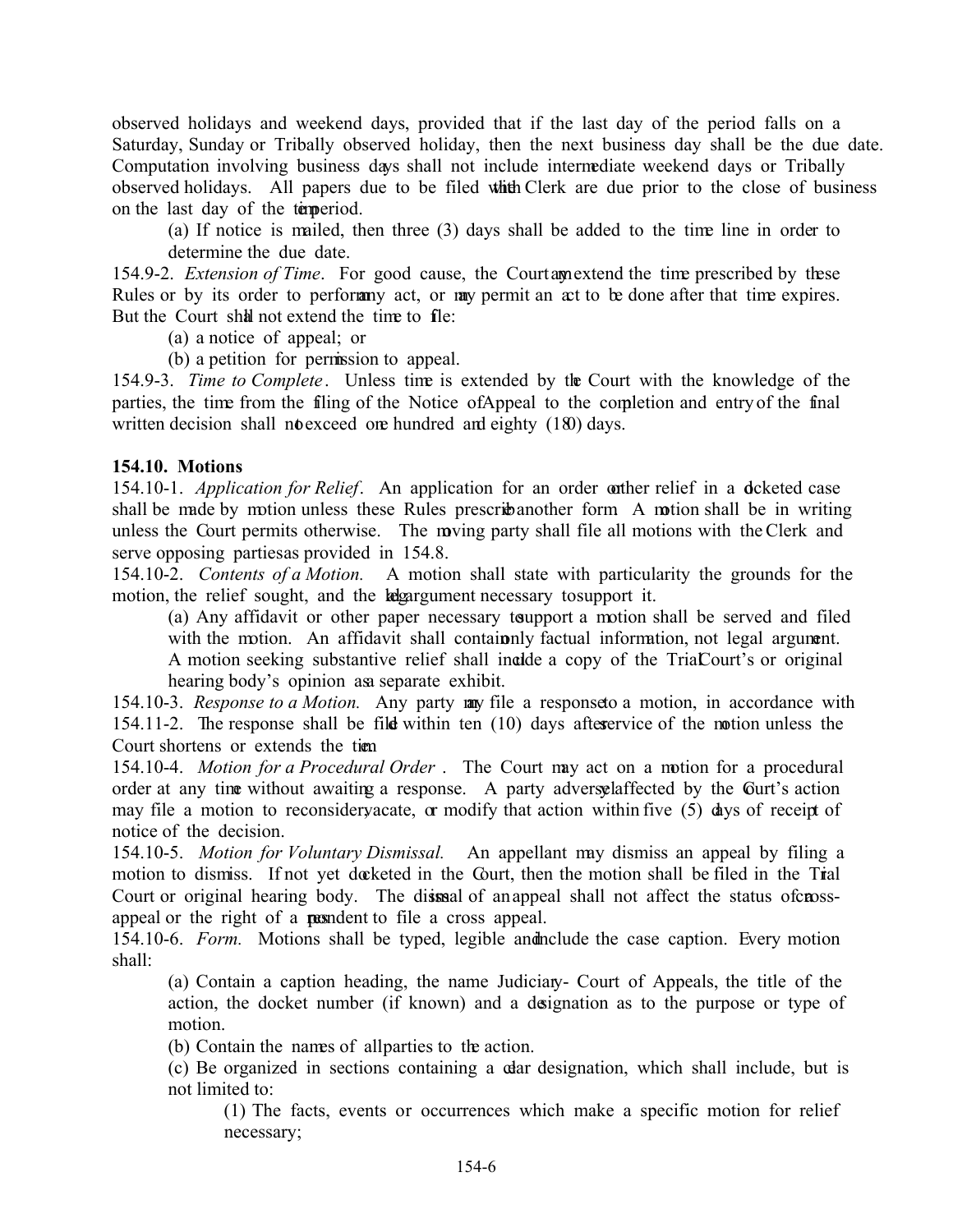observed holidays and weekend days, provided that if the last day of the period falls on a Saturday, Sunday or Tribally observed holiday, then the next business day shall be the due date. Computation involving business days shall not include intermediate weekend days or Tribally observed holidays. All papers due to be filed whith Clerk are due prior to the close of business on the last day of the temperiod.

(a) If notice is mailed, then three (3) days shall be added to the time line in order to determine the due date.

154.9-2. *Extension of Time*. For good cause, the Court amextend the time prescribed by these Rules or by its order to perform act, or more permit an act to be done after that time expires. But the Court shall not extend the time to fle:

(a) a notice of appeal; or

(b) a petition for permission to appeal.

154.9-3. *Time to Complete*. Unless time is extended by the Court with the knowledge of the parties, the time from the filing of the Notice of Appeal to the completion and entry of the final written decision shall not exceed one hundred and eighty  $(180)$  days.

#### **154.10. Motions**

154.10-1. *Application for Relief*. An application for an order or other relief in a deketed case shall be made by motion unless these Rules prescribanother form. A motion shall be in writing unless the Court permits otherwise. The moving party shall file all motions with the Clerk and serve opposing parties as provided in 154.8.

154.10-2. *Contents of a Motion.* A motion shall state with particularity the grounds for the motion, the relief sought, and the legargument necessary to support it.

(a) Any affidavit or other paper necessary to upport a motion shall be served and filed with the motion. An affidavit shall contained factual information, not legal argument. A motion seeking substantive relief shall include a copy of the TriaCourt's or original hearing body's opinion as a separate exhibit.

154.10-3. *Response to a Motion*. Any party may file a response to a motion, in accordance with 154.11-2. The response shall be filed within ten  $(10)$  days after service of the motion unless the Court shortens or extends the tien

154.10-4. *Motion for a Procedural Order* . The Court may act on a motion for a procedural order at any time without awaiting a response. A party adversel affected by the Gurt's action may file a motion to reconsidery acate, or modify that action within five  $(5)$  days of receipt of notice of the decision.

154.10-5. *Motion for Voluntary Dismissal.* An appellant may dismiss an appeal by filing a motion to dismiss. If not yet docketed in the Court, then the motion shall be filed in the Trial Court or original hearing body. The dismissal of an appeal shall not affect the status of crossappeal or the right of a resemble to file a cross appeal.

154.10-6. *Form.* Motions shall be typed, legible and include the case caption. Every motion shall:

(a) Contain a caption heading, the name Judiciary- Court of Appeals, the title of the action, the docket number (if known) and a designation as to the purpose or type of motion.

(b) Contain the names of all parties to the action.

(c) Be organized in sections containing a car designation, which shall include, but is not limited to:

(1) The facts, events or occurrences which make a specific motion for relief necessary;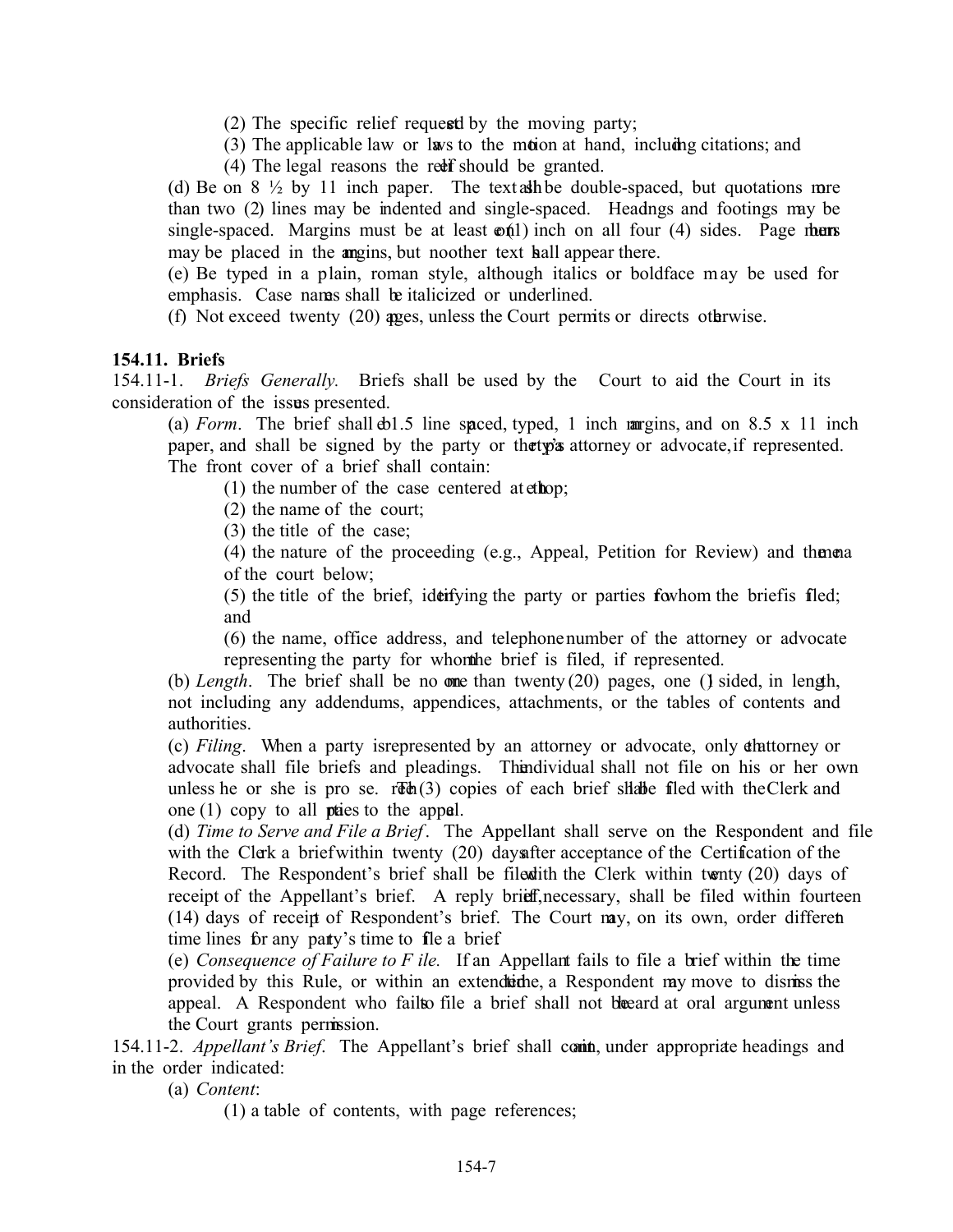- $(2)$  The specific relief requested by the moving party;
- (3) The applicable law or laws to the motion at hand, including citations; and
- (4) The legal reasons the redef should be granted.

(d) Be on  $8\frac{1}{2}$  by 11 inch paper. The text as the double-spaced, but quotations more than two (2) lines may be indented and single-spaced. Headings and footings may be single-spaced. Margins must be at least  $\varphi(1)$  inch on all four (4) sides. Page thems may be placed in the angins, but noother text hall appear there.

(e) Be typed in a plain, roman style, although italics or boldface m ay be used for emphasis. Case names shall be italicized or underlined.

(f) Not exceed twenty  $(20)$  ages, unless the Court permits or directs otherwise.

## **154.11. Briefs**

154.11-1. *Briefs Generally.* Briefs shall be used by the Court to aid the Court in its consideration of the issues presented.

(a) *Form*. The brief shall  $\phi$ 1.5 line spaced, typed, 1 inch margins, and on 8.5 x 11 inch paper, and shall be signed by the party or the type attorney or advocate, if represented. The front cover of a brief shall contain:

(1) the number of the case centered at  $eth$ op;

(2) the name of the court;

(3) the title of the case;

 $(4)$  the nature of the proceeding  $(e.g.,$  Appeal, Petition for Review) and the nearof the court below;

 $(5)$  the title of the brief, identifying the party or parties for whom the brief is filed; and

(6) the name, office address, and telephone number of the attorney or advocate representing the party for whom the brief is filed, if represented.

(b) *Length*. The brief shall be no one than twenty  $(20)$  pages, one (1) sided, in length, not including any addendums, appendices, attachments, or the tables of contents and authorities.

(c) *Filing*. When a party is represented by an attorney or advocate, only diattorney or advocate shall file briefs and pleadings. The individual shall not file on his or her own unless he or she is pro se.  $rFth(3)$  copies of each brief shalle filed with the Clerk and one  $(1)$  copy to all prices to the appel.

(d) *Time to Serve and File a Brief*. The Appellant shall serve on the Respondent and file with the Clerk a brief within twenty (20) days after acceptance of the Certification of the Record. The Respondent's brief shall be filed with the Clerk within twenty  $(20)$  days of receipt of the Appellant's brief. A reply brief, necessary, shall be filed within fourteen (14) days of receipt of Respondent's brief. The Court may, on its own, order different time lines for any party's time to file a brief.

(e) *Consequence of Failure to F ile.* If an Appellant fails to file a brief within the time provided by this Rule, or within an extendiatine, a Respondent may move to dismiss the appeal. A Respondent who fail to file a brief shall not be eard at oral argument unless the Court grants permission.

154.11-2. *Appellant's Brief.* The Appellant's brief shall comin, under appropriate headings and in the order indicated:

(a) *Content*:

(1) a table of contents, with page references;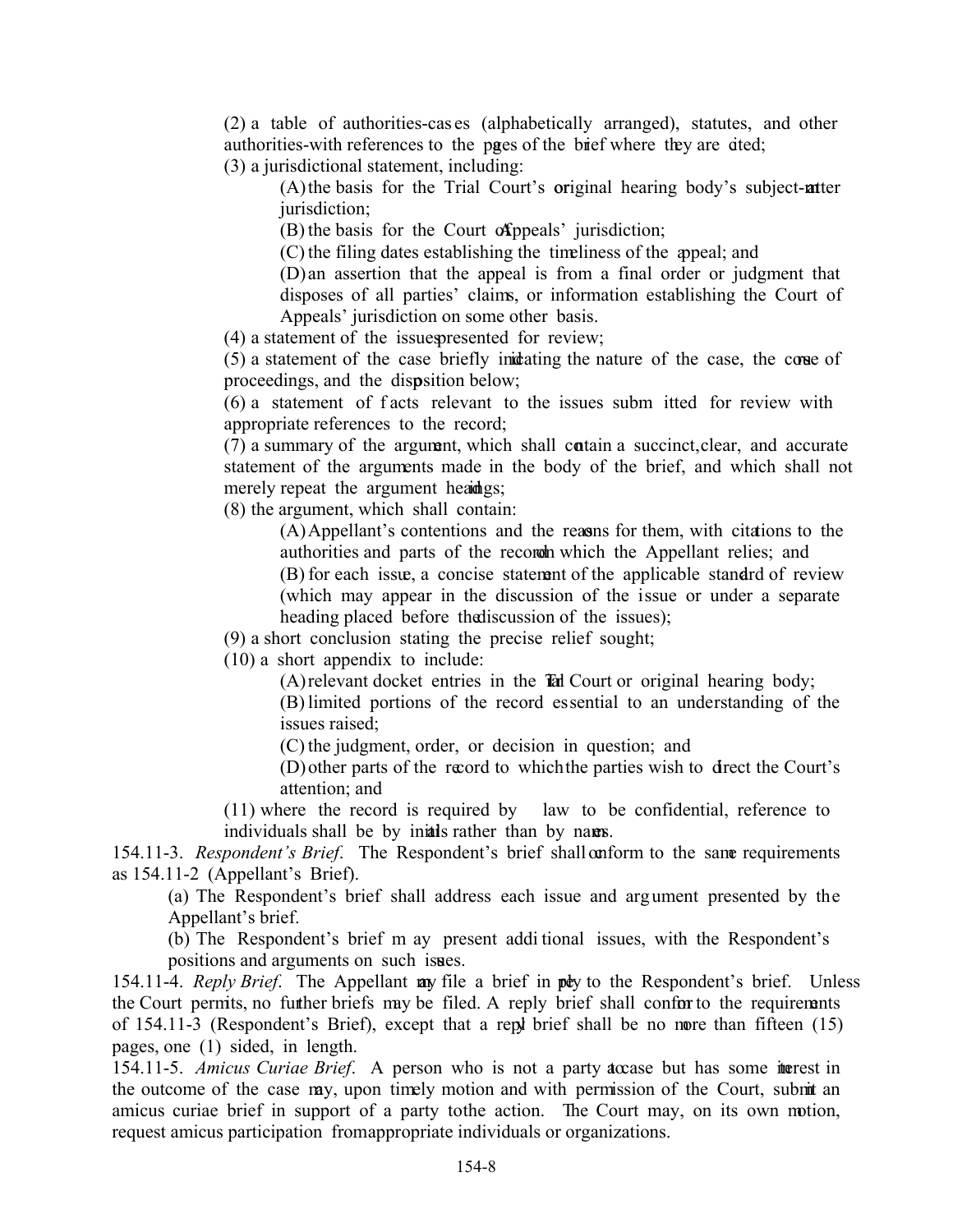(2) a table of authorities-cas es (alphabetically arranged), statutes, and other authorities-with references to the pages of the brief where they are died;

(3) a jurisdictional statement, including:

(A) the basis for the Trial Court's original hearing body's subject-natter jurisdiction;

(B) the basis for the Court of Appeals' jurisdiction;

(C) the filing dates establishing the timeliness of the appeal; and

(D) an assertion that the appeal is from a final order or judgment that disposes of all parties' claims, or information establishing the Court of Appeals' jurisdiction on some other basis.

 $(4)$  a statement of the issues presented for review;

(5) a statement of the case briefly indicating the nature of the case, the course of proceedings, and the disposition below;

(6) a statement of f acts relevant to the issues subm itted for review with appropriate references to the record;

(7) a summary of the argument, which shall contain a succinct, clear, and accurate statement of the arguments made in the body of the brief, and which shall not merely repeat the argument headings;

(8) the argument, which shall contain:

(A) Appellant's contentions and the reasons for them, with citations to the authorities and parts of the record owhich the Appellant relies; and (B) for each issue, a concise statement of the applicable standard of review (which may appear in the discussion of the issue or under a separate heading placed before the discussion of the issues);

(9) a short conclusion stating the precise relief sought;

(10) a short appendix to include:

 $(A)$  relevant docket entries in the Tal Court or original hearing body; (B) limited portions of the record essential to an understanding of the

issues raised;

(C) the judgment, order, or decision in question; and

(D) other parts of the record to which the parties wish to direct the Court's attention; and

(11) where the record is required by law to be confidential, reference to individuals shall be by initials rather than by names.

154.11-3. *Respondent's Brief*. The Respondent's brief shall conform to the same requirements as 154.11-2 (Appellant's Brief).

(a) The Respondent's brief shall address each issue and arg ument presented by the Appellant's brief.

(b) The Respondent's brief m ay present addi tional issues, with the Respondent's positions and arguments on such issues.

154.11-4. *Reply Brief*. The Appellant **ay** file a brief in ply to the Respondent's brief. Unless the Court permits, no further briefs may be filed. A reply brief shall conform to the requirements of  $154.11-3$  (Respondent's Brief), except that a repl brief shall be no nore than fifteen  $(15)$ pages, one (1) sided, in length.

154.11-5. *Amicus Curiae Brief*. A person who is not a party accase but has some interest in the outcome of the case may, upon timely motion and with permission of the Court, submit an amicus curiae brief in support of a party to the action. The Court may, on its own motion, request amicus participation from appropriate individuals or organizations.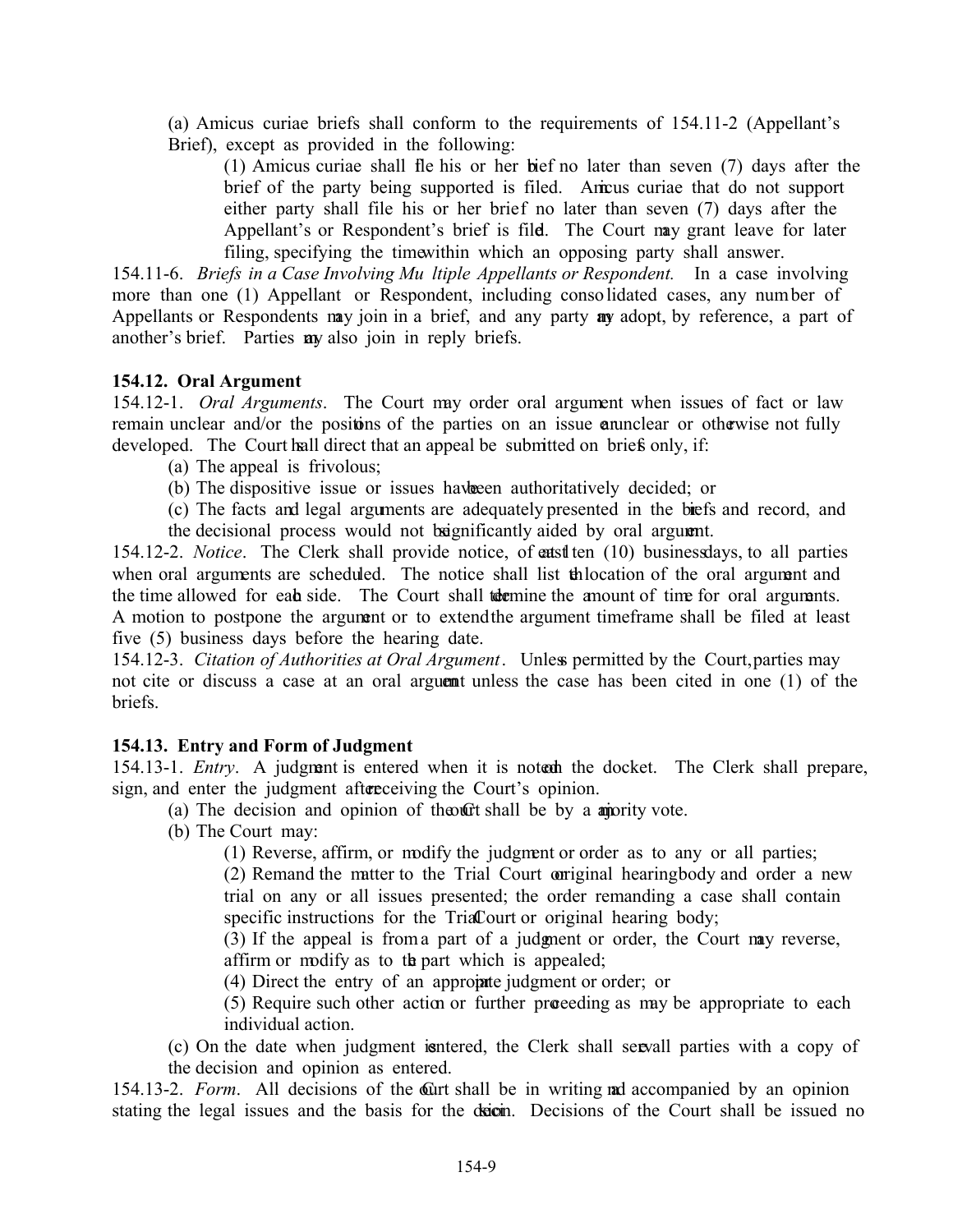(a) Amicus curiae briefs shall conform to the requirements of 154.11-2 (Appellant's Brief), except as provided in the following:

(1) Amicus curiae shall fle his or her bief no later than seven  $(7)$  days after the brief of the party being supported is filed. Amicus curiae that do not support either party shall file his or her brief no later than seven (7) days after the Appellant's or Respondent's brief is fild. The Court may grant leave for later filing, specifying the time within which an opposing party shall answer.

154.11-6. *Briefs in a Case Involving Mu ltiple Appellants or Respondent.* In a case involving more than one (1) Appellant or Respondent, including consolidated cases, any num ber of Appellants or Respondents may join in a brief, and any party any adopt, by reference, a part of another's brief. Parties any also join in reply briefs.

# **154.12. Oral Argument**

154.12-1. *Oral Arguments*. The Court may order oral argument when issues of fact or law remain unclear and/or the positions of the parties on an issue and nelse are otherwise not fully developed. The Court hall direct that an appeal be submitted on briefs only, if:

(a) The appeal is frivolous;

- (b) The dispositive issue or issues have been authoritatively decided; or
- (c) The facts and legal arguments are adequately presented in the briefs and record, and
- the decisional process would not be senificantly aided by oral argument.

154.12-2. *Notice*. The Clerk shall provide notice, of eatst ten (10) business days, to all parties when oral arguments are scheduled. The notice shall list the location of the oral argument and the time allowed for eab side. The Court shall to the amount of time for oral arguments. A motion to postpone the argument or to extend the argument timeframe shall be filed at least five (5) business days before the hearing date.

154.12-3. *Citation of Authorities at Oral Argument*. Unless permitted by the Court, parties may not cite or discuss a case at an oral argument unless the case has been cited in one (1) of the briefs.

## **154.13. Entry and Form of Judgment**

154.13-1. *Entry*. A judgment is entered when it is notech the docket. The Clerk shall prepare, sign, and enter the judgment after receiving the Court's opinion.

(a) The decision and opinion of the  $\alpha$  that shall be by a amority vote.

(b) The Court may:

(1) Reverse, affirm, or modify the judgment or order as to any or all parties;

 $(2)$  Remand the matter to the Trial Court original hearing body and order a new trial on any or all issues presented; the order remanding a case shall contain specific instructions for the TriaCourt or original hearing body;

(3) If the appeal is from a part of a judgment or order, the Court may reverse, affirm or modify as to the part which is appealed;

 $(4)$  Direct the entry of an approprie judgment or order; or

(5) Require such other action or further proceeding as may be appropriate to each individual action.

(c) On the date when judgment is ntered, the Clerk shall serve all parties with a copy of the decision and opinion as entered.

154.13-2. *Form*. All decisions of the Curt shall be in writing and accompanied by an opinion stating the legal issues and the basis for the decident. Decisions of the Court shall be issued no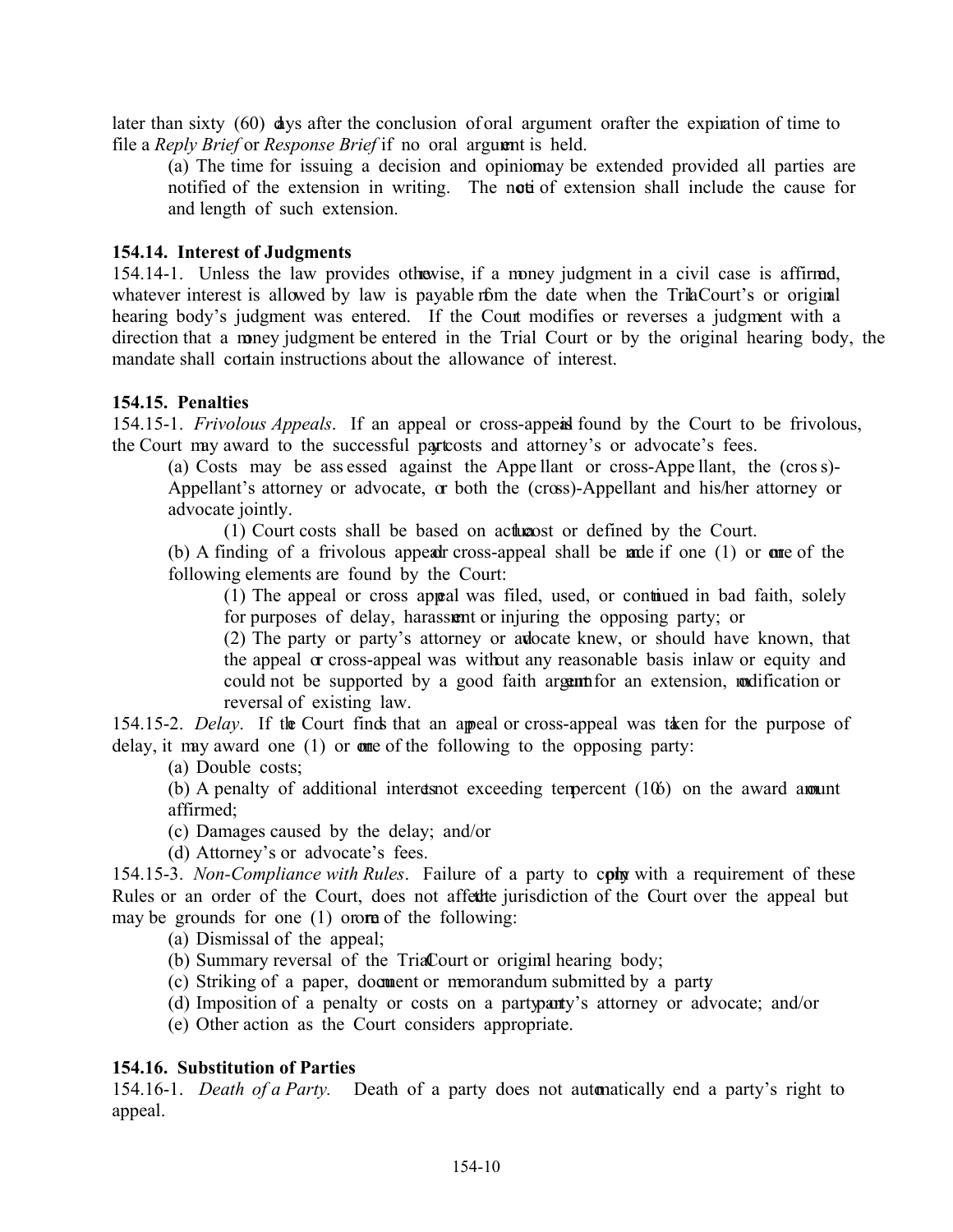later than sixty (60) days after the conclusion of oral argument orafter the expiration of time to file a *Reply Brief* or *Response Brief* if no oral argument is held.

(a) The time for issuing a decision and opiniomay be extended provided all parties are notified of the extension in writing. The noti of extension shall include the cause for and length of such extension.

#### **154.14. Interest of Judgments**

154.14-1. Unless the law provides otherwise, if a money judgment in a civil case is affirmed, whatever interest is allowed by law is payable form the date when the TriaCourt's or original hearing body's judgment was entered. If the Court modifies or reverses a judgment with a direction that a money judgment be entered in the Trial Court or by the original hearing body, the mandate shall contain instructions about the allowance of interest.

#### **154.15. Penalties**

154.15-1. *Frivolous Appeals*. If an appeal or cross-appeal found by the Court to be frivolous, the Court may award to the successful partcosts and attorney's or advocate's fees.

(a) Costs may be ass essed against the Appe llant or cross-Appe llant, the (cros s)- Appellant's attorney or advocate, or both the (cross)-Appellant and his/her attorney or advocate jointly.

 $(1)$  Court costs shall be based on acture actor or defined by the Court.

(b) A finding of a frivolous appear cross-appeal shall be made if one  $(1)$  or one of the following elements are found by the Court:

(1) The appeal or cross appeal was filed, used, or continued in bad faith, solely for purposes of delay, harassum or injuring the opposing party; or

(2) The party or party's attorney or advocate knew, or should have known, that the appeal  $\alpha$  cross-appeal was without any reasonable basis in law or equity and could not be supported by a good faith argument for an extension, modification or reversal of existing law.

154.15-2. *Delay*. If the Court finds that an appeal or cross-appeal was taken for the purpose of delay, it may award one  $(1)$  or one of the following to the opposing party:

(a) Double costs;

(b) A penalty of additional interest exceeding tempercent  $(106)$  on the award amount affirmed;

(c) Damages caused by the delay; and/or

(d) Attorney's or advocate's fees.

154.15-3. *Non-Compliance with Rules*. Failure of a party to cont with a requirement of these Rules or an order of the Court, does not affect te jurisdiction of the Court over the appeal but may be grounds for one  $(1)$  order of the following:

(a) Dismissal of the appeal;

- (b) Summary reversal of the TriaCourt or original hearing body;
- (c) Striking of a paper, document or memorandum submitted by a party
- (d) Imposition of a penalty or costs on a party party's attorney or advocate; and/or
- (e) Other action as the Court considers appropriate.

## **154.16. Substitution of Parties**

154.16-1. *Death of a Party.* Death of a party does not automatically end a party's right to appeal.